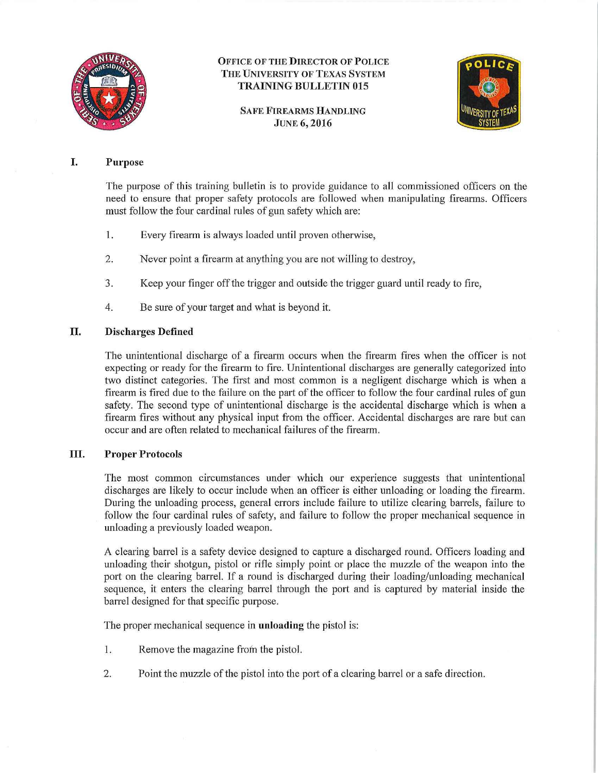

#### OFFICE OF THE DIRECTOR OF POLICE THE UNIVERSITY OF TEXAS SYSTEM TRAINING BULLETIN 015

SAFE FIREARMS HANDLING JUNE 6, 2016



#### I. Purpose

The purpose of this training bulletin is to provide guidance to all commissioned officers on the need to ensure that proper safety protocols are followed when manipulating firearms. Officers must follow the four cardinal rules of gun safety which are:

- 1. Every firearm is always loaded until proven otherwise,
- 2. Never point a firearm at anything you are not willing to destroy,
- 3. Keep your finger offthe trigger and outside the trigger guard until ready to fire,
- 4. Be sure of your target and what is beyond it.

#### TI. Discharges Defined

The unintentional discharge of a firearm occurs when the firearm fires when the officer is not expecting or ready for the firearm to fire. Unintentional discharges are generally categorized into two distinct categories. The first and most common is a negligent discharge which is when a firearm is fired due to the failure on the part of the officer to follow the four cardinal rules of gun safety. The second type of unintentional discharge is the accidental discharge which is when a firearm fires without any physical input from the officer. Accidental discharges are rare but can occur and are often related to mechanical failures of the firearm.

#### ID. Proper Protocols

The most common circumstances under which our experience suggests that unintentional discharges are likely to occur include when an officer is either unloading or loading the firearm. During the unloading process, general errors include failure to utilize clearing barrels, failure to follow the four cardinal rules of safety, and failure to follow the proper mechanical sequence in unloading a previously loaded weapon.

A clearing barrel is a safety device designed to capture a discharged round. Officers loading and unloading their shotgun, pistol or rifle simply point or place the muzzle of the weapon into the port on the clearing barrel. If a round is discharged during their loading/unloading mechanical sequence, it enters the clearing barrel through the port and is captured by material inside the barrel designed for that specific purpose.

The proper mechanical sequence in unloading the pistol is:

- 1. Remove the magazine frofn the pistol.
- 2. Point the muzzle of the pistol into the port of a clearing barrel or a safe direction.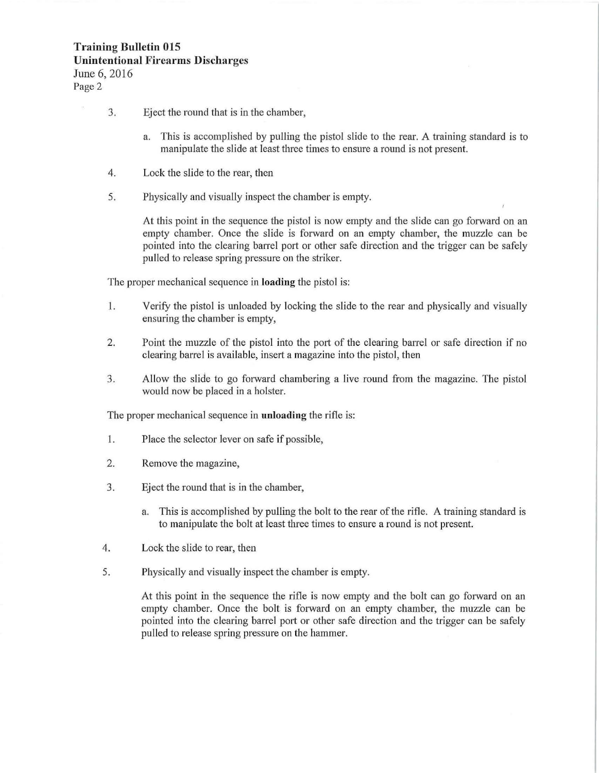## **Training Bulletin 015 Unintentional Firearms Discharges**  June 6, 2016

Page 2

- 3. Eject the round that is in the chamber,
	- a. This is accomplished by pulling the pistol slide to the rear. A training standard is to manipulate the slide at least three times to ensure a round is not present.
- 4. Lock the slide to the rear, then
- 5. Physically and visually inspect the chamber is empty.

At this point in the sequence the pistol is now empty and the slide can go forward on an empty chamber. Once the slide is forward on an empty chamber, the muzzle can be pointed into the clearing barrel port or other safe direction and the trigger can be safely pulled to release spring pressure on the striker.

The proper mechanical sequence in **loading** the pistol is:

- 1. Verify the pistol is unloaded by locking the slide to the rear and physically and visually ensuring the chamber is empty,
- 2. Point the muzzle of the pistol into the port of the clearing barrel or safe direction if no clearing barrel is available, insert a magazine into the pistol, then
- 3. Allow the slide to go forward chambering a live round from the magazine. The pistol would now be placed in a holster.

The proper mechanical sequence in **unloading** the rifle is:

- 1. Place the selector lever on safe if possible,
- 2. Remove the magazine,
- 3. Eject the round that is in the chamber,
	- a. This is accomplished by pulling the bolt to the rear of the rifle. A training standard is to manipulate the bolt at least three times to ensure a round is not present.
- 4. Lock the slide to rear, then
- 5. Physically and visually inspect the chamber is empty.

At this point in the sequence the rifle is now empty and the bolt can go forward on an empty chamber. Once the bolt is forward on an empty chamber, the muzzle can be pointed into the clearing barrel port or other safe direction and the trigger can be safely pulled to release spring pressure on the hammer.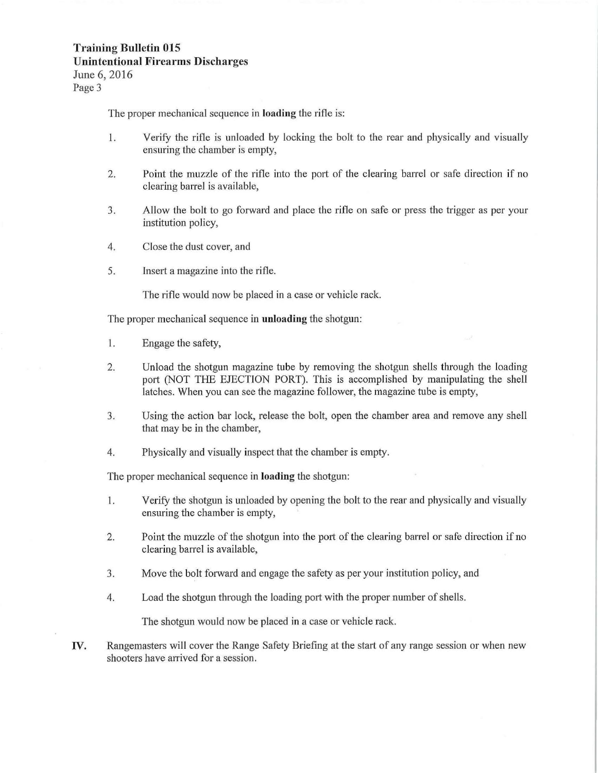# **Training Bulletin 015 Unintentional Firearms Discharges**  June 6, 2016

Page 3

The proper mechanical sequence in **loading** the rifle is:

- 1. Verify the rifle is unloaded by locking the bolt to the rear and physically and visually ensuring the chamber is empty,
- 2. Point the muzzle of the rifle into the port of the clearing barrel or safe direction if no clearing barrel is available,
- 3. Allow the bolt to go forward and place the rifle on safe or press the trigger as per your institution policy,
- 4. Close the dust cover, and
- 5. Insert a magazine into the rifle.

The rifle would now be placed in a case or vehicle rack.

The proper mechanical sequence in **unloading** the shotgun:

- 1. Engage the safety,
- 2. Unload the shotgun magazine tube by removing the shotgun shells through the loading port (NOT THE EJECTION PORT). This is accomplished by manipulating the shell latches. When you can see the magazine follower, the magazine tube is empty,
- 3. Using the action bar lock, release the bolt, open the chamber area and remove any shell that may be in the chamber,
- 4. Physically and visually inspect that the chamber is empty.

The proper mechanical sequence in **loading** the shotgun:

- **1.**  Verify the shotgun is unloaded by opening the bolt to the rear and physically and visually ensuring the chamber is empty,
- 2. Point the muzzle of the shotgun into the port of the clearing barrel or safe direction if no clearing barrel is available,
- 3. Move the bolt fotward and engage the safety as per your institution policy, and
- 4. Load the shotgun through the loading port with the proper number of shells.

The shotgun would now be placed in a case or vehicle rack.

IV. Rangemasters will cover the Range Safety Briefing at the start of any range session or when new shooters have arrived for a session.